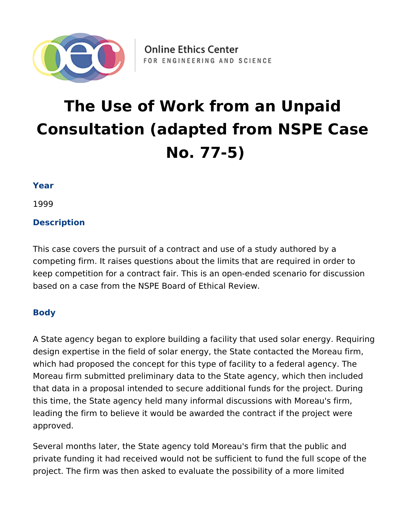

# **The Use of Work from an Unpaid Consultation (adapted from NSPE Case No. 77-5)**

### **Year**

1999

# **Description**

This case covers the pursuit of a contract and use of a study authored by a competing firm. It raises questions about the limits that are required in order to keep competition for a contract fair. This is an open-ended scenario for discussion based on a case from the NSPE Board of Ethical Review.

## **Body**

A State agency began to explore building a facility that used solar energy. Requiring design expertise in the field of solar energy, the State contacted the Moreau firm, which had proposed the concept for this type of facility to a federal agency. The Moreau firm submitted preliminary data to the State agency, which then included that data in a proposal intended to secure additional funds for the project. During this time, the State agency held many informal discussions with Moreau's firm, leading the firm to believe it would be awarded the contract if the project were approved.

Several months later, the State agency told Moreau's firm that the public and private funding it had received would not be sufficient to fund the full scope of the project. The firm was then asked to evaluate the possibility of a more limited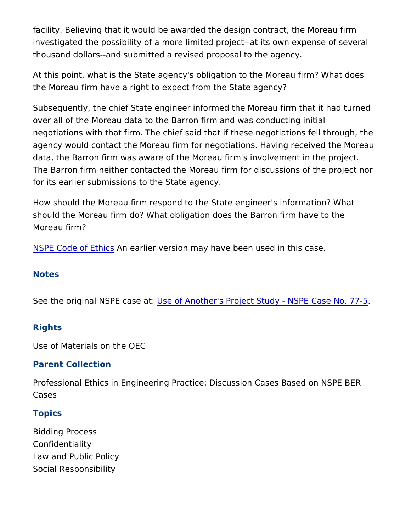facility. Believing that it would be awarded the design contract, t investigated the possibility of a more limited project--at its own  $\epsilon$ thousand dollars--and submitted a revised proposal to the agency.

At this point, what is the State agency's obligation to the Moreau the Moreau firm have a right to expect from the State agency?

Subsequently, the chief State engineer informed the Moreau firm over all of the Moreau data to the Barron firm and was conducting negotiations with that firm. The chief said that if these negotiations agency would contact the Moreau firm for negotiations. Having re data, the Barron firm was aware of the Moreau firm's involvement The Barron firm neither contacted the Moreau firm for discussions for its earlier submissions to the State agency.

How should the Moreau firm respond to the State engineer's infor should the Moreau firm do? What obligation does the Barron firm Moreau firm?

[NSPE Code of](https://www.nspe.org/resources/ethics/code-ethics) EAtthic carlier version may have been used in this case.

#### Notes

See the original NSPEUsasef Another's Project Study - NSPE Case

#### Rights

Use of Materials on the OEC

#### Parent Collection

Professional Ethics in Engineering Practice: Discussion Cases Ba Cases

#### Topics

Bidding Process Confidentiality Law and Public Policy Social Responsibility